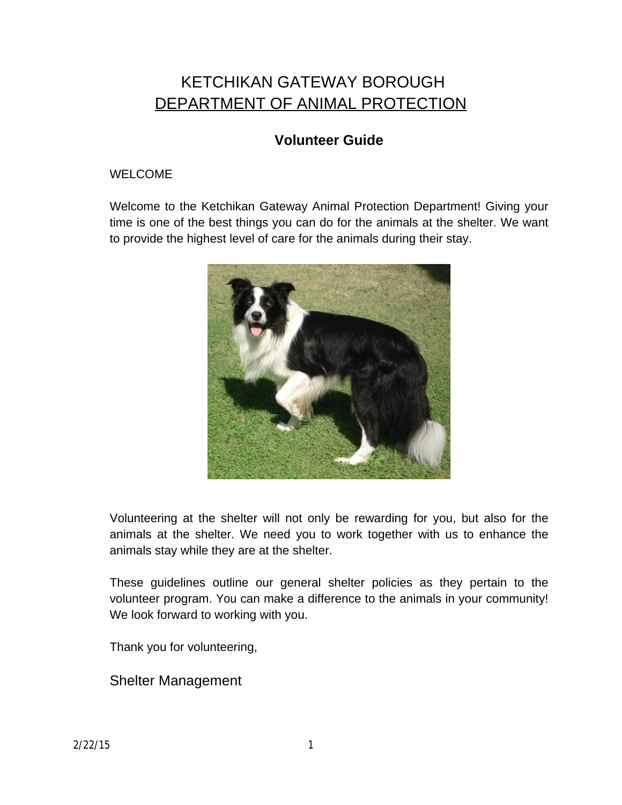# KETCHIKAN GATEWAY BOROUGH DEPARTMENT OF ANIMAL PROTECTION

# **Volunteer Guide**

# WELCOME

Welcome to the Ketchikan Gateway Animal Protection Department! Giving your time is one of the best things you can do for the animals at the shelter. We want to provide the highest level of care for the animals during their stay.



Volunteering at the shelter will not only be rewarding for you, but also for the animals at the shelter. We need you to work together with us to enhance the animals stay while they are at the shelter.

These guidelines outline our general shelter policies as they pertain to the volunteer program. You can make a difference to the animals in your community! We look forward to working with you.

Thank you for volunteering,

Shelter Management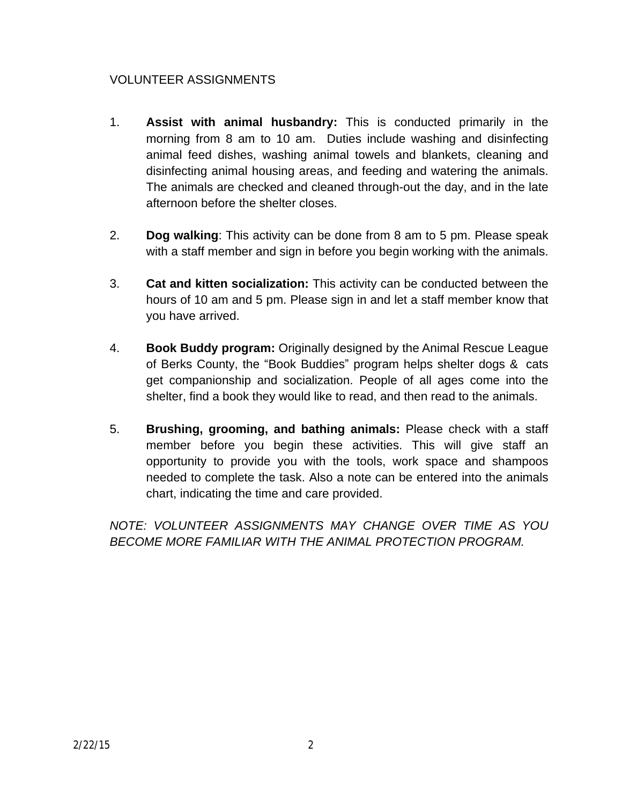# VOLUNTEER ASSIGNMENTS

- 1. **Assist with animal husbandry:** This is conducted primarily in the morning from 8 am to 10 am. Duties include washing and disinfecting animal feed dishes, washing animal towels and blankets, cleaning and disinfecting animal housing areas, and feeding and watering the animals. The animals are checked and cleaned through-out the day, and in the late afternoon before the shelter closes.
- 2. **Dog walking**: This activity can be done from 8 am to 5 pm. Please speak with a staff member and sign in before you begin working with the animals.
- 3. **Cat and kitten socialization:** This activity can be conducted between the hours of 10 am and 5 pm. Please sign in and let a staff member know that you have arrived.
- 4. **Book Buddy program:** Originally designed by the Animal Rescue League of Berks County, the "Book Buddies" program helps shelter dogs & cats get companionship and socialization. People of all ages come into the shelter, find a book they would like to read, and then read to the animals.
- 5. **Brushing, grooming, and bathing animals:** Please check with a staff member before you begin these activities. This will give staff an opportunity to provide you with the tools, work space and shampoos needed to complete the task. Also a note can be entered into the animals chart, indicating the time and care provided.

*NOTE: VOLUNTEER ASSIGNMENTS MAY CHANGE OVER TIME AS YOU BECOME MORE FAMILIAR WITH THE ANIMAL PROTECTION PROGRAM.*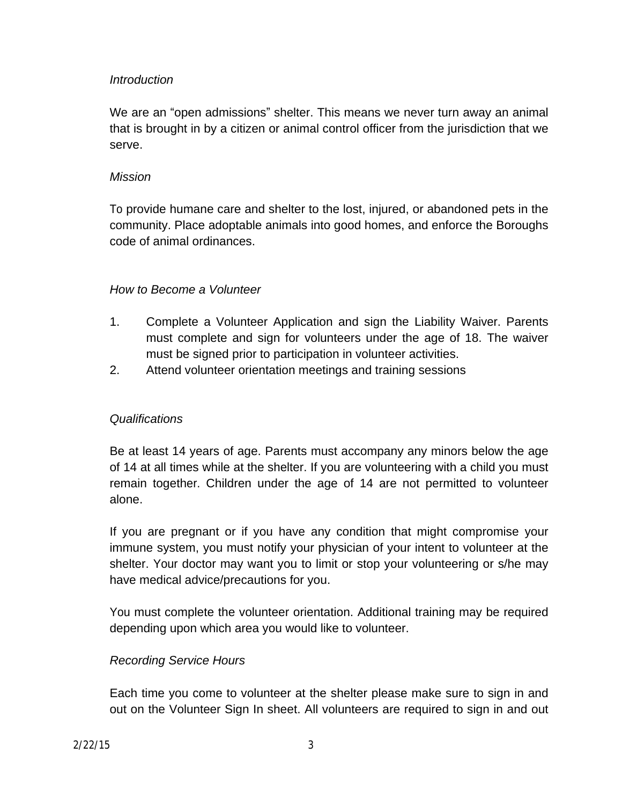#### *Introduction*

We are an "open admissions" shelter. This means we never turn away an animal that is brought in by a citizen or animal control officer from the jurisdiction that we serve.

#### *Mission*

To provide humane care and shelter to the lost, injured, or abandoned pets in the community. Place adoptable animals into good homes, and enforce the Boroughs code of animal ordinances.

#### *How to Become a Volunteer*

- 1. Complete a Volunteer Application and sign the Liability Waiver. Parents must complete and sign for volunteers under the age of 18. The waiver must be signed prior to participation in volunteer activities.
- 2. Attend volunteer orientation meetings and training sessions

# *Qualifications*

Be at least 14 years of age. Parents must accompany any minors below the age of 14 at all times while at the shelter. If you are volunteering with a child you must remain together. Children under the age of 14 are not permitted to volunteer alone.

If you are pregnant or if you have any condition that might compromise your immune system, you must notify your physician of your intent to volunteer at the shelter. Your doctor may want you to limit or stop your volunteering or s/he may have medical advice/precautions for you.

You must complete the volunteer orientation. Additional training may be required depending upon which area you would like to volunteer.

#### *Recording Service Hours*

Each time you come to volunteer at the shelter please make sure to sign in and out on the Volunteer Sign In sheet. All volunteers are required to sign in and out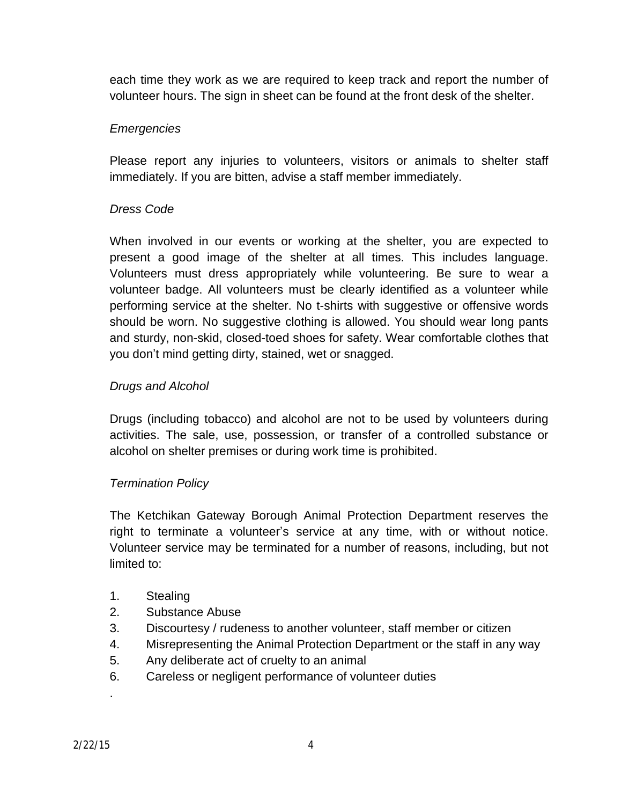each time they work as we are required to keep track and report the number of volunteer hours. The sign in sheet can be found at the front desk of the shelter.

### *Emergencies*

Please report any injuries to volunteers, visitors or animals to shelter staff immediately. If you are bitten, advise a staff member immediately.

#### *Dress Code*

When involved in our events or working at the shelter, you are expected to present a good image of the shelter at all times. This includes language. Volunteers must dress appropriately while volunteering. Be sure to wear a volunteer badge. All volunteers must be clearly identified as a volunteer while performing service at the shelter. No t-shirts with suggestive or offensive words should be worn. No suggestive clothing is allowed. You should wear long pants and sturdy, non-skid, closed-toed shoes for safety. Wear comfortable clothes that you don't mind getting dirty, stained, wet or snagged.

#### *Drugs and Alcohol*

Drugs (including tobacco) and alcohol are not to be used by volunteers during activities. The sale, use, possession, or transfer of a controlled substance or alcohol on shelter premises or during work time is prohibited.

#### *Termination Policy*

The Ketchikan Gateway Borough Animal Protection Department reserves the right to terminate a volunteer's service at any time, with or without notice. Volunteer service may be terminated for a number of reasons, including, but not limited to:

- 1. Stealing
- 2. Substance Abuse
- 3. Discourtesy / rudeness to another volunteer, staff member or citizen
- 4. Misrepresenting the Animal Protection Department or the staff in any way
- 5. Any deliberate act of cruelty to an animal
- 6. Careless or negligent performance of volunteer duties

.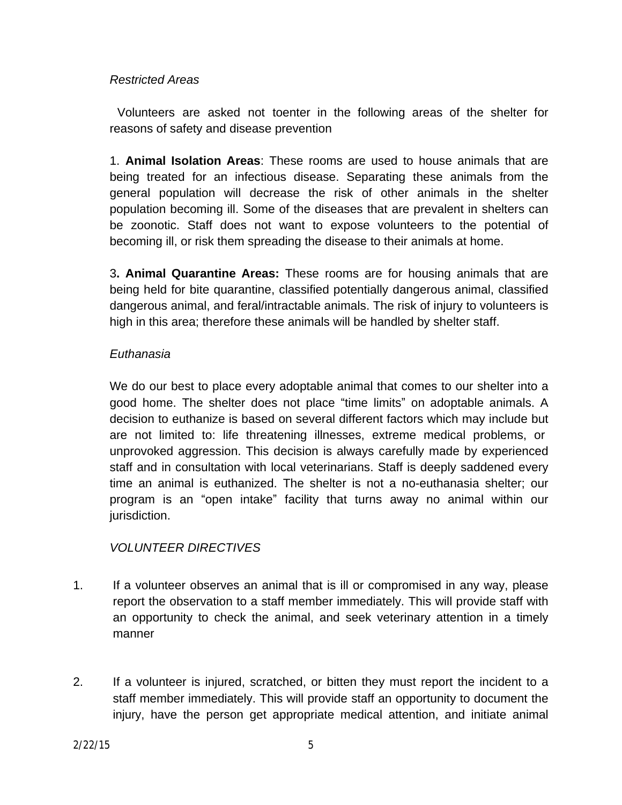#### *Restricted Areas*

Volunteers are asked not toenter in the following areas of the shelter for reasons of safety and disease prevention

1. **Animal Isolation Areas**: These rooms are used to house animals that are being treated for an infectious disease. Separating these animals from the general population will decrease the risk of other animals in the shelter population becoming ill. Some of the diseases that are prevalent in shelters can be zoonotic. Staff does not want to expose volunteers to the potential of becoming ill, or risk them spreading the disease to their animals at home.

3**. Animal Quarantine Areas:** These rooms are for housing animals that are being held for bite quarantine, classified potentially dangerous animal, classified dangerous animal, and feral/intractable animals. The risk of injury to volunteers is high in this area; therefore these animals will be handled by shelter staff.

#### *Euthanasia*

We do our best to place every adoptable animal that comes to our shelter into a good home. The shelter does not place "time limits" on adoptable animals. A decision to euthanize is based on several different factors which may include but are not limited to: life threatening illnesses, extreme medical problems, or unprovoked aggression. This decision is always carefully made by experienced staff and in consultation with local veterinarians. Staff is deeply saddened every time an animal is euthanized. The shelter is not a no-euthanasia shelter; our program is an "open intake" facility that turns away no animal within our jurisdiction.

# *VOLUNTEER DIRECTIVES*

- 1. If a volunteer observes an animal that is ill or compromised in any way, please report the observation to a staff member immediately. This will provide staff with an opportunity to check the animal, and seek veterinary attention in a timely manner
- 2. If a volunteer is injured, scratched, or bitten they must report the incident to a staff member immediately. This will provide staff an opportunity to document the injury, have the person get appropriate medical attention, and initiate animal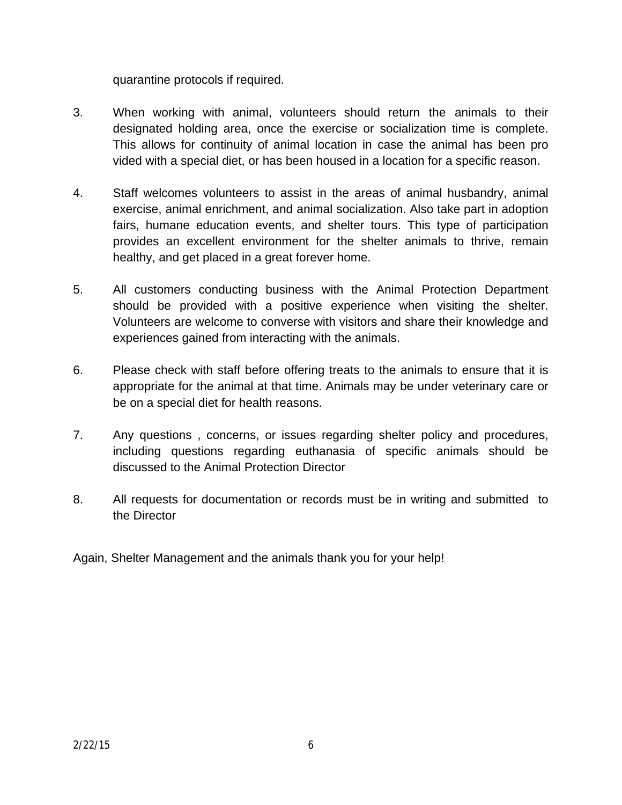quarantine protocols if required.

- 3. When working with animal, volunteers should return the animals to their designated holding area, once the exercise or socialization time is complete. This allows for continuity of animal location in case the animal has been pro vided with a special diet, or has been housed in a location for a specific reason.
- 4. Staff welcomes volunteers to assist in the areas of animal husbandry, animal exercise, animal enrichment, and animal socialization. Also take part in adoption fairs, humane education events, and shelter tours. This type of participation provides an excellent environment for the shelter animals to thrive, remain healthy, and get placed in a great forever home.
- 5. All customers conducting business with the Animal Protection Department should be provided with a positive experience when visiting the shelter. Volunteers are welcome to converse with visitors and share their knowledge and experiences gained from interacting with the animals.
- 6. Please check with staff before offering treats to the animals to ensure that it is appropriate for the animal at that time. Animals may be under veterinary care or be on a special diet for health reasons.
- 7. Any questions , concerns, or issues regarding shelter policy and procedures, including questions regarding euthanasia of specific animals should be discussed to the Animal Protection Director
- 8. All requests for documentation or records must be in writing and submitted to the Director
- Again, Shelter Management and the animals thank you for your help!